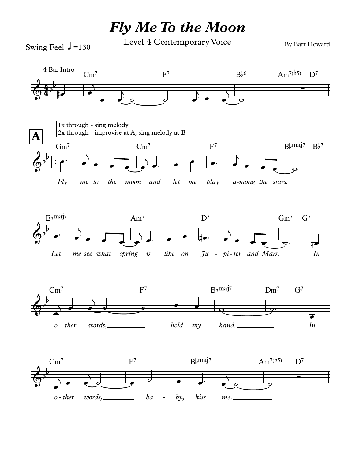## *Fly Me To the Moon*

Swing Feel  $\sqrt{ }$  =130

Level 4 Contemporary Voice

By Bart Howard

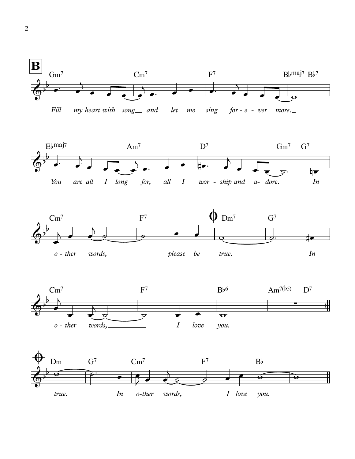







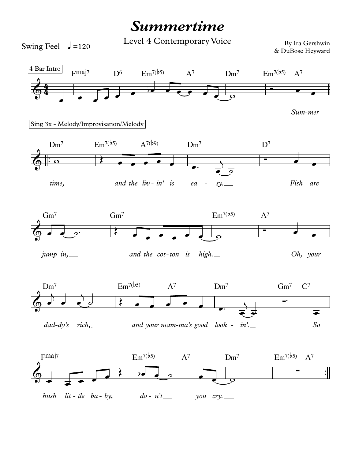## **Summertime**